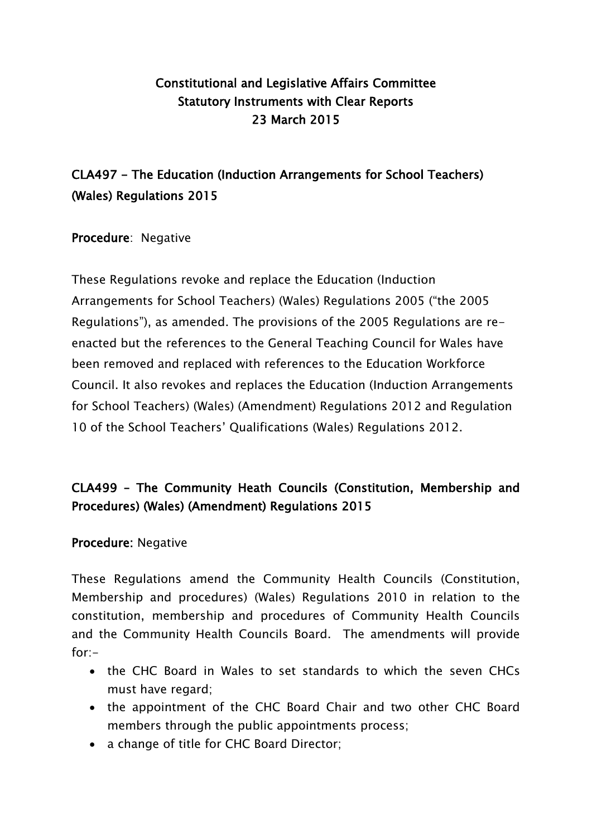### Constitutional and Legislative Affairs Committee Statutory Instruments with Clear Reports 23 March 2015

# CLA497 - The Education (Induction Arrangements for School Teachers) (Wales) Regulations 2015

Procedure: Negative

These Regulations revoke and replace the Education (Induction Arrangements for School Teachers) (Wales) Regulations 2005 ("the 2005 Regulations"), as amended. The provisions of the 2005 Regulations are reenacted but the references to the General Teaching Council for Wales have been removed and replaced with references to the Education Workforce Council. It also revokes and replaces the Education (Induction Arrangements for School Teachers) (Wales) (Amendment) Regulations 2012 and Regulation 10 of the School Teachers' Qualifications (Wales) Regulations 2012.

## CLA499 – The Community Heath Councils (Constitution, Membership and Procedures) (Wales) (Amendment) Regulations 2015

Procedure: Negative

These Regulations amend the Community Health Councils (Constitution, Membership and procedures) (Wales) Regulations 2010 in relation to the constitution, membership and procedures of Community Health Councils and the Community Health Councils Board. The amendments will provide  $for -$ 

- the CHC Board in Wales to set standards to which the seven CHCs must have regard;
- the appointment of the CHC Board Chair and two other CHC Board members through the public appointments process;
- a change of title for CHC Board Director;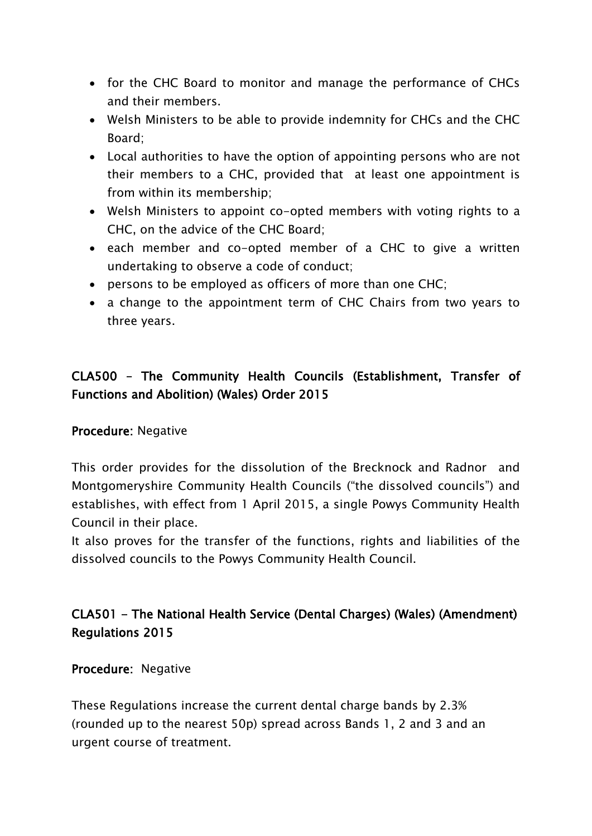- for the CHC Board to monitor and manage the performance of CHCs and their members.
- Welsh Ministers to be able to provide indemnity for CHCs and the CHC Board;
- Local authorities to have the option of appointing persons who are not their members to a CHC, provided that at least one appointment is from within its membership;
- Welsh Ministers to appoint co-opted members with voting rights to a CHC, on the advice of the CHC Board;
- each member and co-opted member of a CHC to give a written undertaking to observe a code of conduct;
- persons to be employed as officers of more than one CHC;
- a change to the appointment term of CHC Chairs from two years to three years.

## CLA500 – The Community Health Councils (Establishment, Transfer of Functions and Abolition) (Wales) Order 2015

#### Procedure: Negative

This order provides for the dissolution of the Brecknock and Radnor and Montgomeryshire Community Health Councils ("the dissolved councils") and establishes, with effect from 1 April 2015, a single Powys Community Health Council in their place.

It also proves for the transfer of the functions, rights and liabilities of the dissolved councils to the Powys Community Health Council.

### CLA501 - The National Health Service (Dental Charges) (Wales) (Amendment) Regulations 2015

Procedure: Negative

These Regulations increase the current dental charge bands by 2.3% (rounded up to the nearest 50p) spread across Bands 1, 2 and 3 and an urgent course of treatment.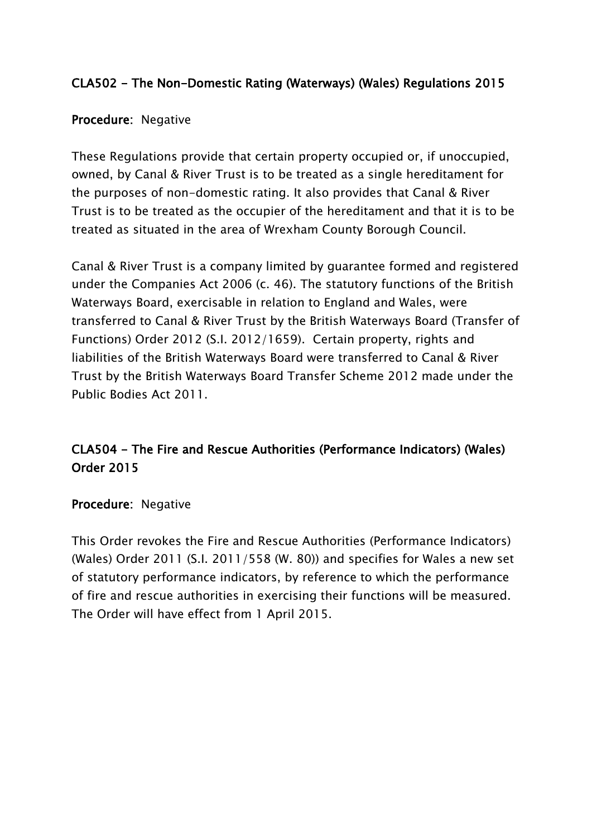### CLA502 - The Non-Domestic Rating (Waterways) (Wales) Regulations 2015

#### Procedure: Negative

These Regulations provide that certain property occupied or, if unoccupied, owned, by Canal & River Trust is to be treated as a single hereditament for the purposes of non-domestic rating. It also provides that Canal & River Trust is to be treated as the occupier of the hereditament and that it is to be treated as situated in the area of Wrexham County Borough Council.

Canal & River Trust is a company limited by guarantee formed and registered under the Companies Act 2006 (c. 46). The statutory functions of the British Waterways Board, exercisable in relation to England and Wales, were transferred to Canal & River Trust by the British Waterways Board (Transfer of Functions) Order 2012 (S.I. 2012/1659). Certain property, rights and liabilities of the British Waterways Board were transferred to Canal & River Trust by the British Waterways Board Transfer Scheme 2012 made under the Public Bodies Act 2011.

## CLA504 - The Fire and Rescue Authorities (Performance Indicators) (Wales) Order 2015

#### Procedure: Negative

This Order revokes the Fire and Rescue Authorities (Performance Indicators) (Wales) Order 2011 (S.I. 2011/558 (W. 80)) and specifies for Wales a new set of statutory performance indicators, by reference to which the performance of fire and rescue authorities in exercising their functions will be measured. The Order will have effect from 1 April 2015.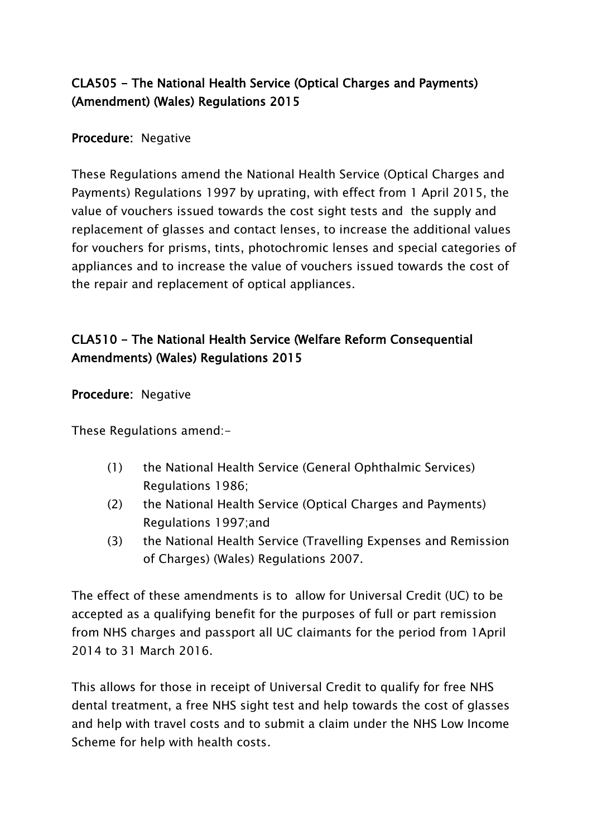### CLA505 - The National Health Service (Optical Charges and Payments) (Amendment) (Wales) Regulations 2015

#### Procedure: Negative

These Regulations amend the National Health Service (Optical Charges and Payments) Regulations 1997 by uprating, with effect from 1 April 2015, the value of vouchers issued towards the cost sight tests and the supply and replacement of glasses and contact lenses, to increase the additional values for vouchers for prisms, tints, photochromic lenses and special categories of appliances and to increase the value of vouchers issued towards the cost of the repair and replacement of optical appliances.

## CLA510 - The National Health Service (Welfare Reform Consequential Amendments) (Wales) Regulations 2015

#### Procedure: Negative

These Regulations amend:-

- (1) the National Health Service (General Ophthalmic Services) Regulations 1986;
- (2) the National Health Service (Optical Charges and Payments) Regulations 1997;and
- (3) the National Health Service (Travelling Expenses and Remission of Charges) (Wales) Regulations 2007.

The effect of these amendments is to allow for Universal Credit (UC) to be accepted as a qualifying benefit for the purposes of full or part remission from NHS charges and passport all UC claimants for the period from 1April 2014 to 31 March 2016.

This allows for those in receipt of Universal Credit to qualify for free NHS dental treatment, a free NHS sight test and help towards the cost of glasses and help with travel costs and to submit a claim under the NHS Low Income Scheme for help with health costs.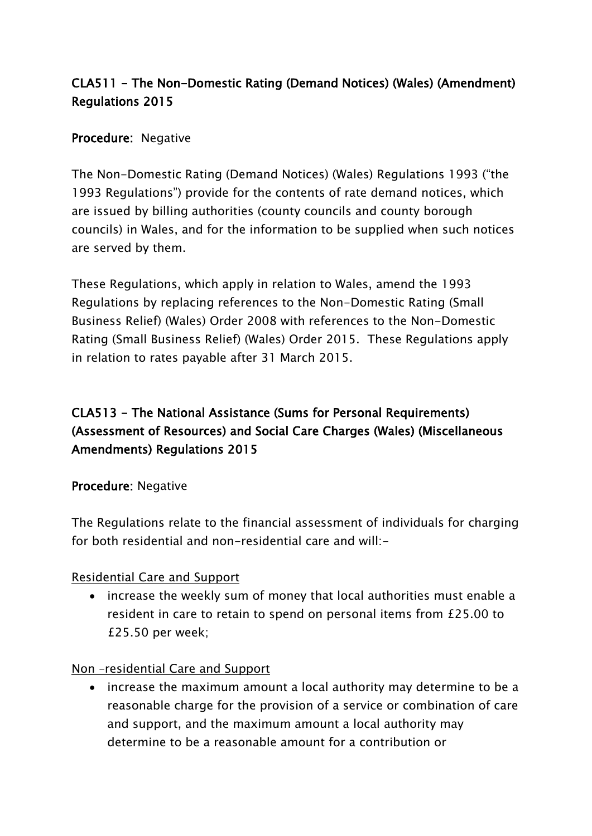## CLA511 - The Non-Domestic Rating (Demand Notices) (Wales) (Amendment) Regulations 2015

### Procedure: Negative

The Non-Domestic Rating (Demand Notices) (Wales) Regulations 1993 ("the 1993 Regulations") provide for the contents of rate demand notices, which are issued by billing authorities (county councils and county borough councils) in Wales, and for the information to be supplied when such notices are served by them.

These Regulations, which apply in relation to Wales, amend the 1993 Regulations by replacing references to the Non-Domestic Rating (Small Business Relief) (Wales) Order 2008 with references to the Non-Domestic Rating (Small Business Relief) (Wales) Order 2015. These Regulations apply in relation to rates payable after 31 March 2015.

## CLA513 - The National Assistance (Sums for Personal Requirements) (Assessment of Resources) and Social Care Charges (Wales) (Miscellaneous Amendments) Regulations 2015

#### Procedure: Negative

The Regulations relate to the financial assessment of individuals for charging for both residential and non-residential care and will:-

#### Residential Care and Support

• increase the weekly sum of money that local authorities must enable a resident in care to retain to spend on personal items from £25.00 to £25.50 per week;

#### Non –residential Care and Support

• increase the maximum amount a local authority may determine to be a reasonable charge for the provision of a service or combination of care and support, and the maximum amount a local authority may determine to be a reasonable amount for a contribution or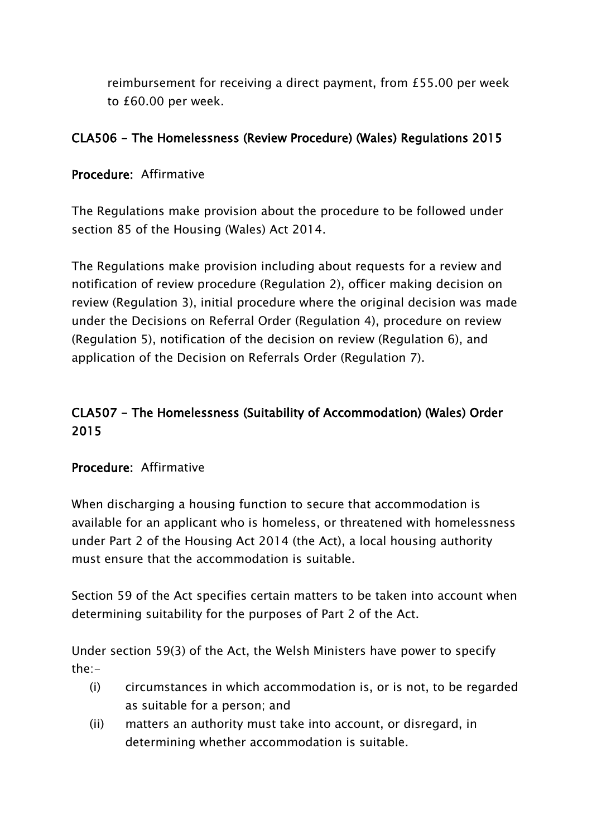reimbursement for receiving a direct payment, from £55.00 per week to £60.00 per week.

### CLA506 - The Homelessness (Review Procedure) (Wales) Regulations 2015

#### Procedure: Affirmative

The Regulations make provision about the procedure to be followed under section 85 of the Housing (Wales) Act 2014.

The Regulations make provision including about requests for a review and notification of review procedure (Regulation 2), officer making decision on review (Regulation 3), initial procedure where the original decision was made under the Decisions on Referral Order (Regulation 4), procedure on review (Regulation 5), notification of the decision on review (Regulation 6), and application of the Decision on Referrals Order (Regulation 7).

### CLA507 - The Homelessness (Suitability of Accommodation) (Wales) Order 2015

#### Procedure: Affirmative

When discharging a housing function to secure that accommodation is available for an applicant who is homeless, or threatened with homelessness under Part 2 of the Housing Act 2014 (the Act), a local housing authority must ensure that the accommodation is suitable.

Section 59 of the Act specifies certain matters to be taken into account when determining suitability for the purposes of Part 2 of the Act.

Under section 59(3) of the Act, the Welsh Ministers have power to specify the:-

- (i) circumstances in which accommodation is, or is not, to be regarded as suitable for a person; and
- (ii) matters an authority must take into account, or disregard, in determining whether accommodation is suitable.